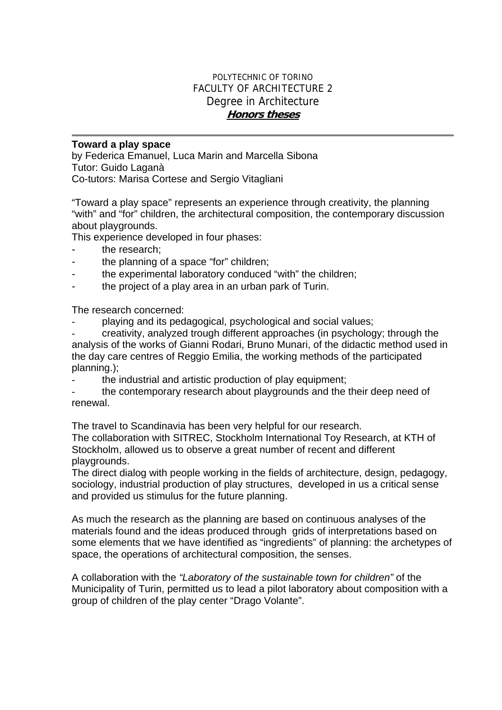## POLYTECHNIC OF TORINO FACULTY OF ARCHITECTURE 2 Degree in Architecture **Honors theses**

## **Toward a play space**

by Federica Emanuel, Luca Marin and Marcella Sibona Tutor: Guido Laganà

Co-tutors: Marisa Cortese and Sergio Vitagliani

"Toward a play space" represents an experience through creativity, the planning "with" and "for" children, the architectural composition, the contemporary discussion about playgrounds.

This experience developed in four phases:

- the research:
- the planning of a space "for" children;
- the experimental laboratory conduced "with" the children;
- the project of a play area in an urban park of Turin.

The research concerned:

playing and its pedagogical, psychological and social values;

- creativity, analyzed trough different approaches (in psychology; through the analysis of the works of Gianni Rodari, Bruno Munari, of the didactic method used in the day care centres of Reggio Emilia, the working methods of the participated planning.);

the industrial and artistic production of play equipment;

the contemporary research about playgrounds and the their deep need of renewal.

The travel to Scandinavia has been very helpful for our research.

The collaboration with SITREC, Stockholm International Toy Research, at KTH of Stockholm, allowed us to observe a great number of recent and different playgrounds.

The direct dialog with people working in the fields of architecture, design, pedagogy, sociology, industrial production of play structures, developed in us a critical sense and provided us stimulus for the future planning.

As much the research as the planning are based on continuous analyses of the materials found and the ideas produced through grids of interpretations based on some elements that we have identified as "ingredients" of planning: the archetypes of space, the operations of architectural composition, the senses.

A collaboration with the *"Laboratory of the sustainable town for children"* of the Municipality of Turin, permitted us to lead a pilot laboratory about composition with a group of children of the play center "Drago Volante".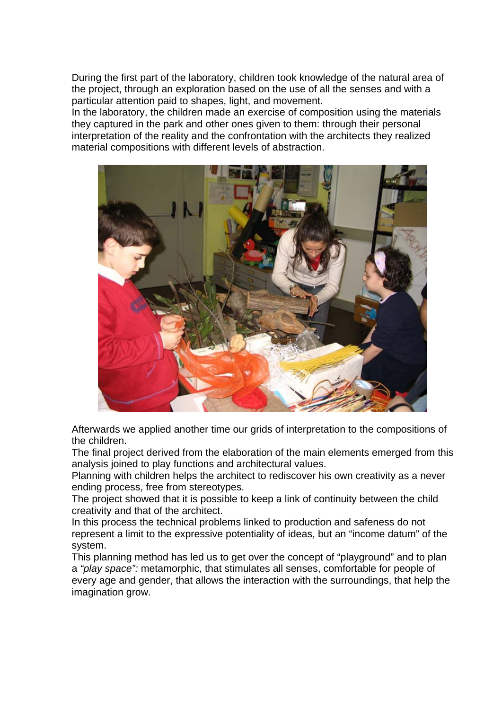During the first part of the laboratory, children took knowledge of the natural area of the project, through an exploration based on the use of all the senses and with a particular attention paid to shapes, light, and movement.

In the laboratory, the children made an exercise of composition using the materials they captured in the park and other ones given to them: through their personal interpretation of the reality and the confrontation with the architects they realized material compositions with different levels of abstraction.



Afterwards we applied another time our grids of interpretation to the compositions of the children.

The final project derived from the elaboration of the main elements emerged from this analysis joined to play functions and architectural values.

Planning with children helps the architect to rediscover his own creativity as a never ending process, free from stereotypes.

The project showed that it is possible to keep a link of continuity between the child creativity and that of the architect.

In this process the technical problems linked to production and safeness do not represent a limit to the expressive potentiality of ideas, but an "income datum" of the system.

This planning method has led us to get over the concept of "playground" and to plan a *"play space":* metamorphic, that stimulates all senses, comfortable for people of every age and gender, that allows the interaction with the surroundings, that help the imagination grow.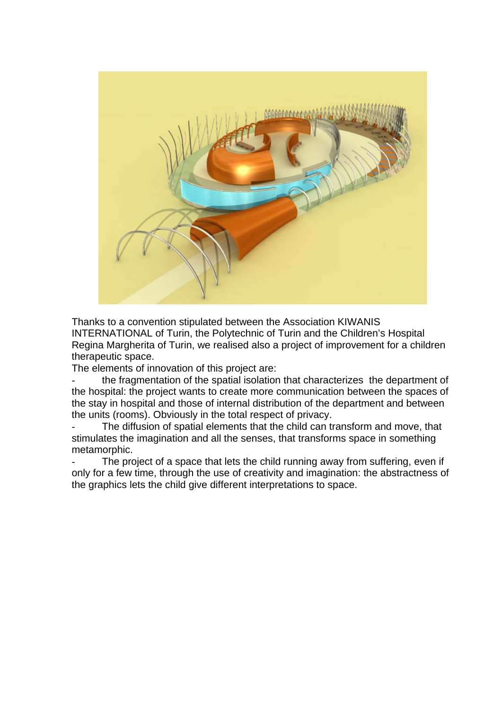

Thanks to a convention stipulated between the Association KIWANIS INTERNATIONAL of Turin, the Polytechnic of Turin and the Children's Hospital Regina Margherita of Turin, we realised also a project of improvement for a children therapeutic space.

The elements of innovation of this project are:

the fragmentation of the spatial isolation that characterizes the department of the hospital: the project wants to create more communication between the spaces of the stay in hospital and those of internal distribution of the department and between the units (rooms). Obviously in the total respect of privacy.

The diffusion of spatial elements that the child can transform and move, that stimulates the imagination and all the senses, that transforms space in something metamorphic.

The project of a space that lets the child running away from suffering, even if only for a few time, through the use of creativity and imagination: the abstractness of the graphics lets the child give different interpretations to space.